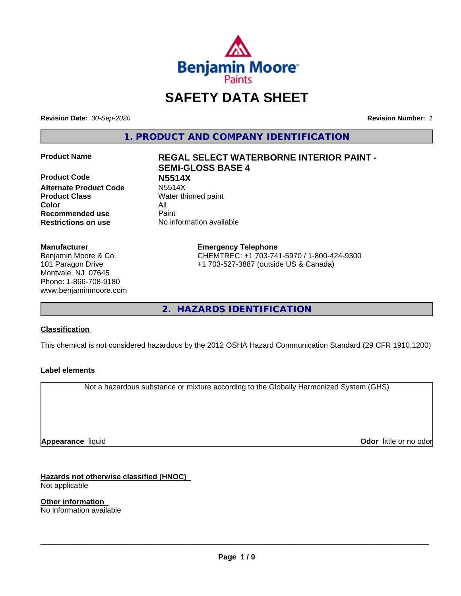

## **SAFETY DATA SHEET**

**Revision Date:** *30-Sep-2020* **Revision Number:** *1*

**1. PRODUCT AND COMPANY IDENTIFICATION**

**Product Code N5514X Alternate Product Code Product Class** Water thinned paint **Color** All **Recommended use** Paint **Restrictions on use** No information available

#### **Manufacturer**

Benjamin Moore & Co. 101 Paragon Drive Montvale, NJ 07645 Phone: 1-866-708-9180 www.benjaminmoore.com

# **Product Name REGAL SELECT WATERBORNE INTERIOR PAINT - SEMI-GLOSS BASE 4**

**Emergency Telephone** CHEMTREC: +1 703-741-5970 / 1-800-424-9300 +1 703-527-3887 (outside US & Canada)

**2. HAZARDS IDENTIFICATION**

#### **Classification**

This chemical is not considered hazardous by the 2012 OSHA Hazard Communication Standard (29 CFR 1910.1200)

#### **Label elements**

Not a hazardous substance or mixture according to the Globally Harmonized System (GHS)

**Appearance** liquid

**Odor** little or no odor

**Hazards not otherwise classified (HNOC)** Not applicable

**Other information** No information available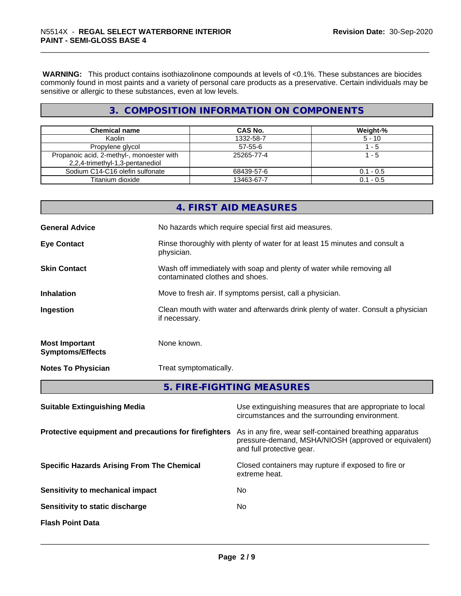**WARNING:** This product contains isothiazolinone compounds at levels of <0.1%. These substances are biocides commonly found in most paints and a variety of personal care products as a preservative. Certain individuals may be sensitive or allergic to these substances, even at low levels.

#### **3. COMPOSITION INFORMATION ON COMPONENTS**

| <b>Chemical name</b>                                                         | <b>CAS No.</b> | Weight-%    |
|------------------------------------------------------------------------------|----------------|-------------|
| Kaolin                                                                       | 1332-58-7      | $5 - 10$    |
| Propylene glycol                                                             | $57 - 55 - 6$  | - 5         |
| Propanoic acid, 2-methyl-, monoester with<br>2,2,4-trimethyl-1,3-pentanediol | 25265-77-4     | - 5         |
| Sodium C14-C16 olefin sulfonate                                              | 68439-57-6     | $0.1 - 0.5$ |
| Titanium dioxide                                                             | 13463-67-7     | $0.1 - 0.5$ |

|                                                   |                                                       | 4. FIRST AID MEASURES                                                                                                                        |  |  |
|---------------------------------------------------|-------------------------------------------------------|----------------------------------------------------------------------------------------------------------------------------------------------|--|--|
| <b>General Advice</b>                             |                                                       | No hazards which require special first aid measures.                                                                                         |  |  |
| <b>Eye Contact</b>                                | physician.                                            | Rinse thoroughly with plenty of water for at least 15 minutes and consult a                                                                  |  |  |
| <b>Skin Contact</b>                               |                                                       | Wash off immediately with soap and plenty of water while removing all<br>contaminated clothes and shoes.                                     |  |  |
| <b>Inhalation</b>                                 |                                                       | Move to fresh air. If symptoms persist, call a physician.                                                                                    |  |  |
| Ingestion                                         | if necessary.                                         | Clean mouth with water and afterwards drink plenty of water. Consult a physician                                                             |  |  |
| <b>Most Important</b><br><b>Symptoms/Effects</b>  | None known.                                           |                                                                                                                                              |  |  |
| <b>Notes To Physician</b>                         |                                                       | Treat symptomatically.                                                                                                                       |  |  |
|                                                   |                                                       | 5. FIRE-FIGHTING MEASURES                                                                                                                    |  |  |
| <b>Suitable Extinguishing Media</b>               |                                                       | Use extinguishing measures that are appropriate to local<br>circumstances and the surrounding environment.                                   |  |  |
|                                                   | Protective equipment and precautions for firefighters | As in any fire, wear self-contained breathing apparatus<br>pressure-demand, MSHA/NIOSH (approved or equivalent)<br>and full protective gear. |  |  |
| <b>Specific Hazards Arising From The Chemical</b> |                                                       | Closed containers may rupture if exposed to fire or                                                                                          |  |  |

**Sensitivity to mechanical impact** No

**Sensitivity to static discharge** No

**Flash Point Data**

extreme heat.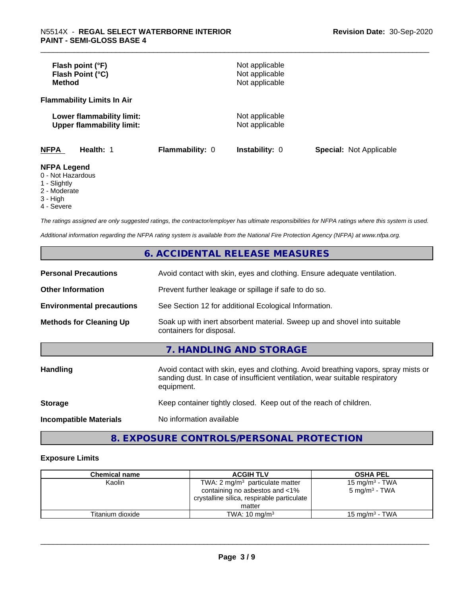| Flash point (°F)<br>Flash Point (°C)<br><b>Method</b>                                        |                 | Not applicable<br>Not applicable<br>Not applicable |                                |
|----------------------------------------------------------------------------------------------|-----------------|----------------------------------------------------|--------------------------------|
| <b>Flammability Limits In Air</b>                                                            |                 |                                                    |                                |
| Lower flammability limit:<br><b>Upper flammability limit:</b>                                |                 | Not applicable<br>Not applicable                   |                                |
| <b>NFPA</b><br>Health: 1                                                                     | Flammability: 0 | <b>Instability: 0</b>                              | <b>Special: Not Applicable</b> |
| <b>NFPA Legend</b><br>0 - Not Hazardous<br>$\mathcal{A}$ of $\mathcal{A}$ is $\mathcal{A}$ . |                 |                                                    |                                |

1 - Slightly

2 - Moderate

3 - High

4 - Severe

*The ratings assigned are only suggested ratings, the contractor/employer has ultimate responsibilities for NFPA ratings where this system is used.*

*Additional information regarding the NFPA rating system is available from the National Fire Protection Agency (NFPA) at www.nfpa.org.*

#### **6. ACCIDENTAL RELEASE MEASURES**

| <b>Personal Precautions</b>      | Avoid contact with skin, eyes and clothing. Ensure adequate ventilation.                                                                                                         |
|----------------------------------|----------------------------------------------------------------------------------------------------------------------------------------------------------------------------------|
| <b>Other Information</b>         | Prevent further leakage or spillage if safe to do so.                                                                                                                            |
| <b>Environmental precautions</b> | See Section 12 for additional Ecological Information.                                                                                                                            |
| <b>Methods for Cleaning Up</b>   | Soak up with inert absorbent material. Sweep up and shovel into suitable<br>containers for disposal.                                                                             |
|                                  | 7. HANDLING AND STORAGE                                                                                                                                                          |
| Handling                         | Avoid contact with skin, eyes and clothing. Avoid breathing vapors, spray mists or<br>sanding dust. In case of insufficient ventilation, wear suitable respiratory<br>equipment. |
| <b>Storage</b>                   | Keep container tightly closed. Keep out of the reach of children.                                                                                                                |
| <b>Incompatible Materials</b>    | No information available                                                                                                                                                         |

### **8. EXPOSURE CONTROLS/PERSONAL PROTECTION**

#### **Exposure Limits**

| <b>Chemical name</b> | <b>ACGIH TLV</b>                           | <b>OSHA PEL</b>            |
|----------------------|--------------------------------------------|----------------------------|
| Kaolin               | TWA: 2 $mg/m3$ particulate matter          | 15 mg/m <sup>3</sup> - TWA |
|                      | containing no asbestos and <1%             | $5 \text{ mg/m}^3$ - TWA   |
|                      | crystalline silica, respirable particulate |                            |
|                      | matter                                     |                            |
| Titanium dioxide     | TWA: $10 \text{ mg/m}^3$                   | 15 mg/m $3$ - TWA          |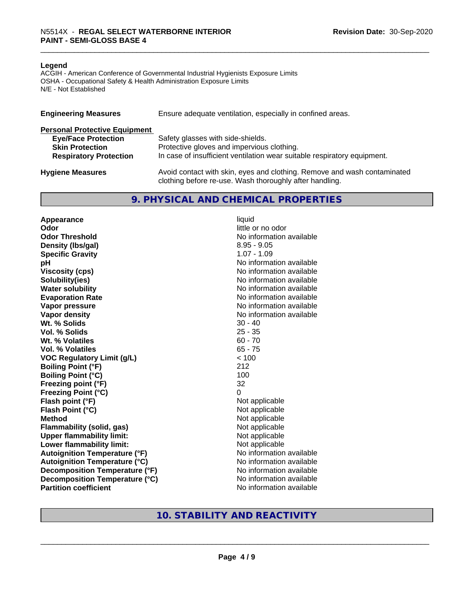#### **Legend**

ACGIH - American Conference of Governmental Industrial Hygienists Exposure Limits OSHA - Occupational Safety & Health Administration Exposure Limits N/E - Not Established

| <b>Engineering Measures</b>          | Ensure adequate ventilation, especially in confined areas.                                                                          |
|--------------------------------------|-------------------------------------------------------------------------------------------------------------------------------------|
| <b>Personal Protective Equipment</b> |                                                                                                                                     |
| <b>Eye/Face Protection</b>           | Safety glasses with side-shields.                                                                                                   |
| <b>Skin Protection</b>               | Protective gloves and impervious clothing.                                                                                          |
| <b>Respiratory Protection</b>        | In case of insufficient ventilation wear suitable respiratory equipment.                                                            |
| <b>Hygiene Measures</b>              | Avoid contact with skin, eyes and clothing. Remove and wash contaminated<br>clothing before re-use. Wash thoroughly after handling. |

#### **9. PHYSICAL AND CHEMICAL PROPERTIES**

**Appearance** liquid **Odor** little or no odor **Odor Threshold No information available No information available Density (lbs/gal)** 8.95 - 9.05 **Specific Gravity** 1.07 - 1.09 **pH** No information available **Viscosity (cps)** No information available **Solubility(ies)** No information available **Water solubility** No information available **Evaporation Rate No information available No information available Vapor pressure** No information available **No information available Vapor density**<br> **We Solids**<br>
We Solids
20 - 40 **Wt. % Solids Vol. % Solids** 25 - 35 **Wt.** % Volatiles 60 - 70 **Vol. % Volatiles** 65 - 75 **VOC Regulatory Limit (g/L)** < 100 **Boiling Point (°F)** 212 **Boiling Point (°C)** 100 **Freezing point (°F)** 32 **Freezing Point (°C)** 0 **Flash point (°F)**<br> **Flash Point (°C)**<br> **Flash Point (°C)**<br> **C Flash Point (°C)**<br>Method **Flammability (solid, gas)**<br> **Upper flammability limit:**<br>
Upper flammability limit:<br>  $\begin{array}{ccc}\n\bullet & \bullet & \bullet \\
\bullet & \bullet & \bullet\n\end{array}$  Not applicable **Upper flammability limit:**<br> **Lower flammability limit:**<br>
Not applicable<br>
Not applicable **Lower flammability limit: Autoignition Temperature (°F)** No information available **Autoignition Temperature (°C)** No information available **Decomposition Temperature (°F)** No information available **Decomposition Temperature (°C)** No information available **Partition coefficient** No information available

**Not applicable** 

#### **10. STABILITY AND REACTIVITY**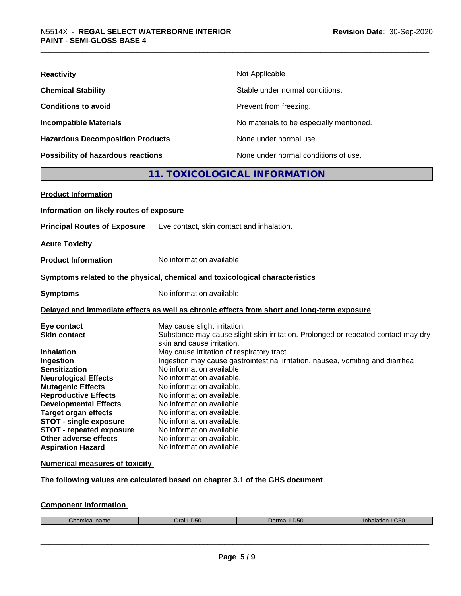| <b>Reactivity</b>                         | Not Applicable                           |
|-------------------------------------------|------------------------------------------|
| <b>Chemical Stability</b>                 | Stable under normal conditions.          |
| <b>Conditions to avoid</b>                | Prevent from freezing.                   |
| <b>Incompatible Materials</b>             | No materials to be especially mentioned. |
| <b>Hazardous Decomposition Products</b>   | None under normal use.                   |
| <b>Possibility of hazardous reactions</b> | None under normal conditions of use.     |

#### **11. TOXICOLOGICAL INFORMATION**

| <b>Product Information</b>                                                                                                                                                                                                                                                                                                                                                            |                                                                                                                                                                                                                                                                                                                                                                                                                                                                                                                                                                                  |
|---------------------------------------------------------------------------------------------------------------------------------------------------------------------------------------------------------------------------------------------------------------------------------------------------------------------------------------------------------------------------------------|----------------------------------------------------------------------------------------------------------------------------------------------------------------------------------------------------------------------------------------------------------------------------------------------------------------------------------------------------------------------------------------------------------------------------------------------------------------------------------------------------------------------------------------------------------------------------------|
| Information on likely routes of exposure                                                                                                                                                                                                                                                                                                                                              |                                                                                                                                                                                                                                                                                                                                                                                                                                                                                                                                                                                  |
| <b>Principal Routes of Exposure</b>                                                                                                                                                                                                                                                                                                                                                   | Eye contact, skin contact and inhalation.                                                                                                                                                                                                                                                                                                                                                                                                                                                                                                                                        |
| <b>Acute Toxicity</b>                                                                                                                                                                                                                                                                                                                                                                 |                                                                                                                                                                                                                                                                                                                                                                                                                                                                                                                                                                                  |
| <b>Product Information</b>                                                                                                                                                                                                                                                                                                                                                            | No information available                                                                                                                                                                                                                                                                                                                                                                                                                                                                                                                                                         |
|                                                                                                                                                                                                                                                                                                                                                                                       | Symptoms related to the physical, chemical and toxicological characteristics                                                                                                                                                                                                                                                                                                                                                                                                                                                                                                     |
| <b>Symptoms</b>                                                                                                                                                                                                                                                                                                                                                                       | No information available                                                                                                                                                                                                                                                                                                                                                                                                                                                                                                                                                         |
|                                                                                                                                                                                                                                                                                                                                                                                       | Delayed and immediate effects as well as chronic effects from short and long-term exposure                                                                                                                                                                                                                                                                                                                                                                                                                                                                                       |
| Eye contact<br><b>Skin contact</b><br><b>Inhalation</b><br>Ingestion<br><b>Sensitization</b><br><b>Neurological Effects</b><br><b>Mutagenic Effects</b><br><b>Reproductive Effects</b><br><b>Developmental Effects</b><br><b>Target organ effects</b><br><b>STOT - single exposure</b><br><b>STOT - repeated exposure</b><br><b>Other adverse effects</b><br><b>Aspiration Hazard</b> | May cause slight irritation.<br>Substance may cause slight skin irritation. Prolonged or repeated contact may dry<br>skin and cause irritation.<br>May cause irritation of respiratory tract.<br>Ingestion may cause gastrointestinal irritation, nausea, vomiting and diarrhea.<br>No information available<br>No information available.<br>No information available.<br>No information available.<br>No information available.<br>No information available.<br>No information available.<br>No information available.<br>No information available.<br>No information available |

#### **Numerical measures of toxicity**

**The following values are calculated based on chapter 3.1 of the GHS document**

#### **Component Information**

| $2$<br>$n \sim m$<br>$\sim$<br>l Ildille<br>Tiitidi<br>ənər | .D50<br>oral | $D^{\sim}$<br>-ມວບ<br>™Па⊾<br>, , , | C50<br>ilididi.<br>. |
|-------------------------------------------------------------|--------------|-------------------------------------|----------------------|
|                                                             |              |                                     |                      |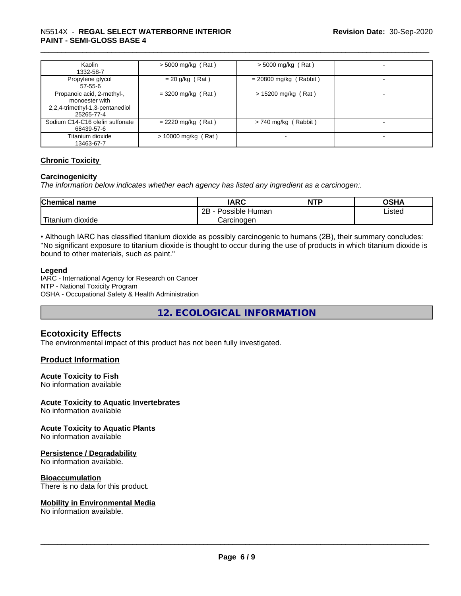#### \_\_\_\_\_\_\_\_\_\_\_\_\_\_\_\_\_\_\_\_\_\_\_\_\_\_\_\_\_\_\_\_\_\_\_\_\_\_\_\_\_\_\_\_\_\_\_\_\_\_\_\_\_\_\_\_\_\_\_\_\_\_\_\_\_\_\_\_\_\_\_\_\_\_\_\_\_\_\_\_\_\_\_\_\_\_\_\_\_\_\_\_\_ N5514X - **REGAL SELECT WATERBORNE INTERIOR PAINT - SEMI-GLOSS BASE 4**

| Kaolin<br>1332-58-7                                                                           | $>$ 5000 mg/kg (Rat)  | $>$ 5000 mg/kg (Rat)     | ۰                        |
|-----------------------------------------------------------------------------------------------|-----------------------|--------------------------|--------------------------|
| Propylene glycol<br>$57 - 55 - 6$                                                             | $= 20$ g/kg (Rat)     | $= 20800$ mg/kg (Rabbit) | $\,$                     |
| Propanoic acid, 2-methyl-,<br>monoester with<br>2,2,4-trimethyl-1,3-pentanediol<br>25265-77-4 | $=$ 3200 mg/kg (Rat)  | > 15200 mg/kg (Rat)      | $\,$                     |
| Sodium C14-C16 olefin sulfonate<br>68439-57-6                                                 | $= 2220$ mg/kg (Rat)  | $> 740$ mg/kg (Rabbit)   | $\overline{\phantom{a}}$ |
| Titanium dioxide<br>13463-67-7                                                                | $> 10000$ mg/kg (Rat) |                          | -                        |

#### **Chronic Toxicity**

#### **Carcinogenicity**

*The information below indicateswhether each agency has listed any ingredient as a carcinogen:.*

| <b>Chemical name</b>                                                                                                                            | <b>IARC</b>                   | <b>NTP</b> | <b>OSHA</b> |
|-------------------------------------------------------------------------------------------------------------------------------------------------|-------------------------------|------------|-------------|
|                                                                                                                                                 | .<br>2B<br>Possible<br>≞Human |            | Listed      |
| <b>The Contract of the Contract of the Contract of the Contract of the Contract of the Contract of the Contract o</b><br>n dioxide<br>l itanium | Carcinogen                    |            |             |

• Although IARC has classified titanium dioxide as possibly carcinogenic to humans (2B), their summary concludes: "No significant exposure to titanium dioxide is thought to occur during the use of products in which titanium dioxide is bound to other materials, such as paint."

#### **Legend**

IARC - International Agency for Research on Cancer NTP - National Toxicity Program OSHA - Occupational Safety & Health Administration

**12. ECOLOGICAL INFORMATION**

#### **Ecotoxicity Effects**

The environmental impact of this product has not been fully investigated.

#### **Product Information**

#### **Acute Toxicity to Fish**

No information available

#### **Acute Toxicity to Aquatic Invertebrates**

No information available

#### **Acute Toxicity to Aquatic Plants**

No information available

#### **Persistence / Degradability**

No information available.

#### **Bioaccumulation**

There is no data for this product.

#### **Mobility in Environmental Media**

No information available.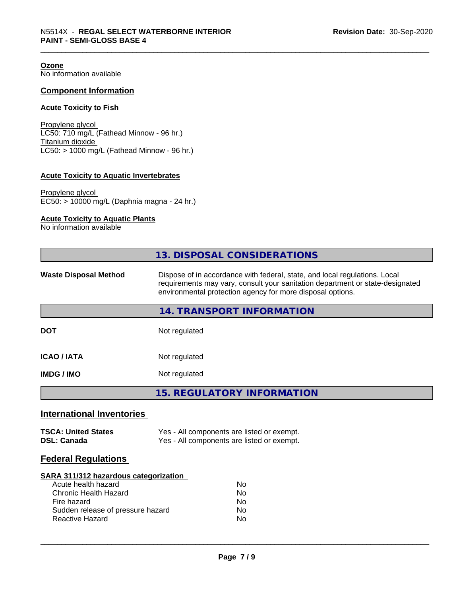**Ozone** No information available

#### **Component Information**

#### **Acute Toxicity to Fish**

Propylene glycol LC50: 710 mg/L (Fathead Minnow - 96 hr.) Titanium dioxide  $\overline{\text{LC50:}}$  > 1000 mg/L (Fathead Minnow - 96 hr.)

#### **Acute Toxicity to Aquatic Invertebrates**

Propylene glycol EC50: > 10000 mg/L (Daphnia magna - 24 hr.)

#### **Acute Toxicity to Aquatic Plants**

No information available

|                                                  | 13. DISPOSAL CONSIDERATIONS                                                                                                                                                                                               |
|--------------------------------------------------|---------------------------------------------------------------------------------------------------------------------------------------------------------------------------------------------------------------------------|
| <b>Waste Disposal Method</b>                     | Dispose of in accordance with federal, state, and local regulations. Local<br>requirements may vary, consult your sanitation department or state-designated<br>environmental protection agency for more disposal options. |
|                                                  | 14. TRANSPORT INFORMATION                                                                                                                                                                                                 |
| <b>DOT</b>                                       | Not regulated                                                                                                                                                                                                             |
| <b>ICAO/IATA</b>                                 | Not regulated                                                                                                                                                                                                             |
| IMDG / IMO                                       | Not regulated                                                                                                                                                                                                             |
|                                                  | <b>15. REGULATORY INFORMATION</b>                                                                                                                                                                                         |
| <b>International Inventories</b>                 |                                                                                                                                                                                                                           |
| <b>TSCA: United States</b><br><b>DSL: Canada</b> | Yes - All components are listed or exempt.<br>Yes - All components are listed or exempt.                                                                                                                                  |

Yes - All components are listed or exempt.

| <b>Federal Regulations</b> |  |
|----------------------------|--|

#### **SARA 311/312 hazardous categorization**

| Acute health hazard               | Nο |
|-----------------------------------|----|
| Chronic Health Hazard             | N٥ |
| Fire hazard                       | N٥ |
| Sudden release of pressure hazard | Nο |
| Reactive Hazard                   | N٥ |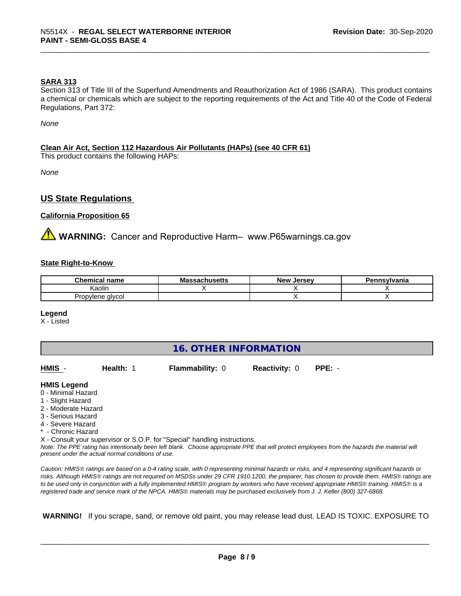#### **SARA 313**

Section 313 of Title III of the Superfund Amendments and Reauthorization Act of 1986 (SARA). This product contains a chemical or chemicals which are subject to the reporting requirements of the Act and Title 40 of the Code of Federal Regulations, Part 372:

*None*

#### **Clean Air Act,Section 112 Hazardous Air Pollutants (HAPs) (see 40 CFR 61)**

This product contains the following HAPs:

*None*

#### **US State Regulations**

#### **California Proposition 65**

**AVIMARNING:** Cancer and Reproductive Harm– www.P65warnings.ca.gov

#### **State Right-to-Know**

| <u>ан</u><br>Chemical<br>name | . <i>.</i><br>IVIa<br>aunuscus | <b>Jerse</b> y<br><b>Nev</b> | าทรvlvania |
|-------------------------------|--------------------------------|------------------------------|------------|
| Kaolin                        |                                |                              |            |
| alvcol<br>Pro<br>opvlene      |                                |                              |            |

#### **Legend**

X - Listed

#### **16. OTHER INFORMATION**

| HMIS -      | Health: 1 | <b>Flammability: 0</b> | <b>Reactivity: 0 PPE: -</b> |  |
|-------------|-----------|------------------------|-----------------------------|--|
| - -- -- - - |           |                        |                             |  |

#### **HMIS Legend**

- 0 Minimal Hazard
- 1 Slight Hazard
- 2 Moderate Hazard
- 3 Serious Hazard
- 4 Severe Hazard
- \* Chronic Hazard

X - Consult your supervisor or S.O.P. for "Special" handling instructions.

*Note: The PPE rating has intentionally been left blank. Choose appropriate PPE that will protect employees from the hazards the material will present under the actual normal conditions of use.*

*Caution: HMISÒ ratings are based on a 0-4 rating scale, with 0 representing minimal hazards or risks, and 4 representing significant hazards or risks. Although HMISÒ ratings are not required on MSDSs under 29 CFR 1910.1200, the preparer, has chosen to provide them. HMISÒ ratings are to be used only in conjunction with a fully implemented HMISÒ program by workers who have received appropriate HMISÒ training. HMISÒ is a registered trade and service mark of the NPCA. HMISÒ materials may be purchased exclusively from J. J. Keller (800) 327-6868.*

 **WARNING!** If you scrape, sand, or remove old paint, you may release lead dust. LEAD IS TOXIC. EXPOSURE TO